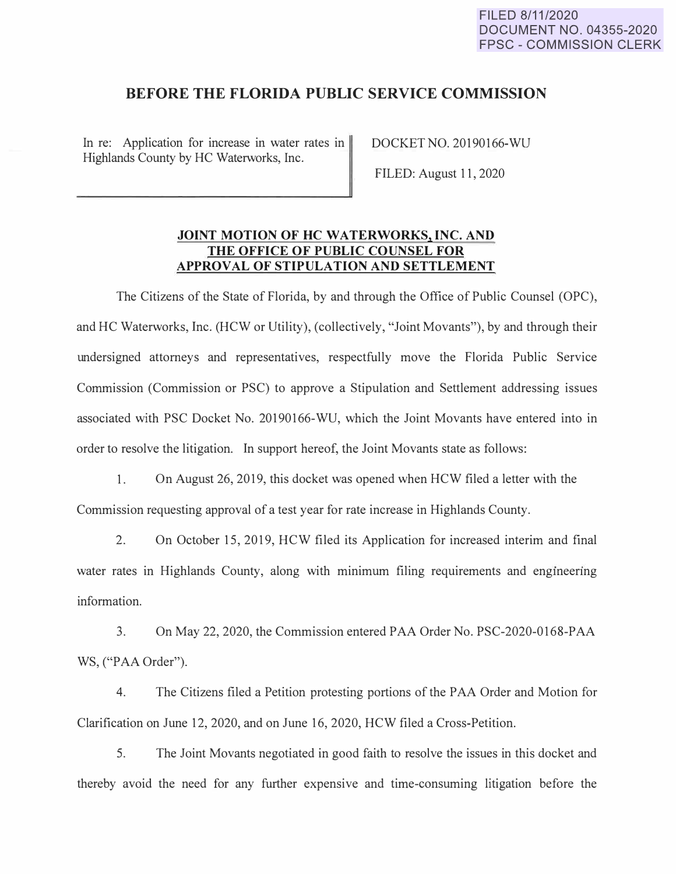# **BEFORE THE FLORIDA PUBLIC SERVICE COMMISSION**

In re: Application for increase in water rates in Highlands County by HC Waterworks, Inc.

DOCKET NO. 20190166-WU

FILED: August 11, 2020

# **JOINT MOTION OF HC WATERWORKS, INC. AND THE OFFICE OF PUBLIC COUNSEL FOR APPROVAL OF STIPULATION AND SETTLEMENT**

The Citizens of the State of Florida, by and through the Office of Public Counsel (OPC), and HC Waterworks, Inc. (HCW or Utility), (collectively, "Joint Movants"), by and through their undersigned attorneys and representatives, respectfully move the Florida Public Service Commission (Commission or PSC) to approve a Stipulation and Settlement addressing issues associated with PSC Docket No. 20190166-WU, which the Joint Movants have entered into in order to resolve the litigation. In support hereof, the Joint Movants state as follows:

1. On August 26, 2019, this docket was opened when HCW filed a letter with the Commission requesting approval of a test year for rate increase in Highlands County.

2. On October 15, 2019, HCW filed its Application for increased interim and final water rates in Highlands County, along with minimum filing requirements and engineering information.

3. On May 22, 2020, the Commission entered PAA Order No. PSC-2020-0168-PAA WS, ("PAA Order").

4. The Citizens filed a Petition protesting portions of the PAA Order and Motion for Clarification on June 12, 2020, and on June 16, 2020, HCW filed a Cross-Petition.

5. The Joint Movants negotiated in good faith to resolve the issues in this docket and thereby avoid the need for any further expensive and time-consuming litigation before the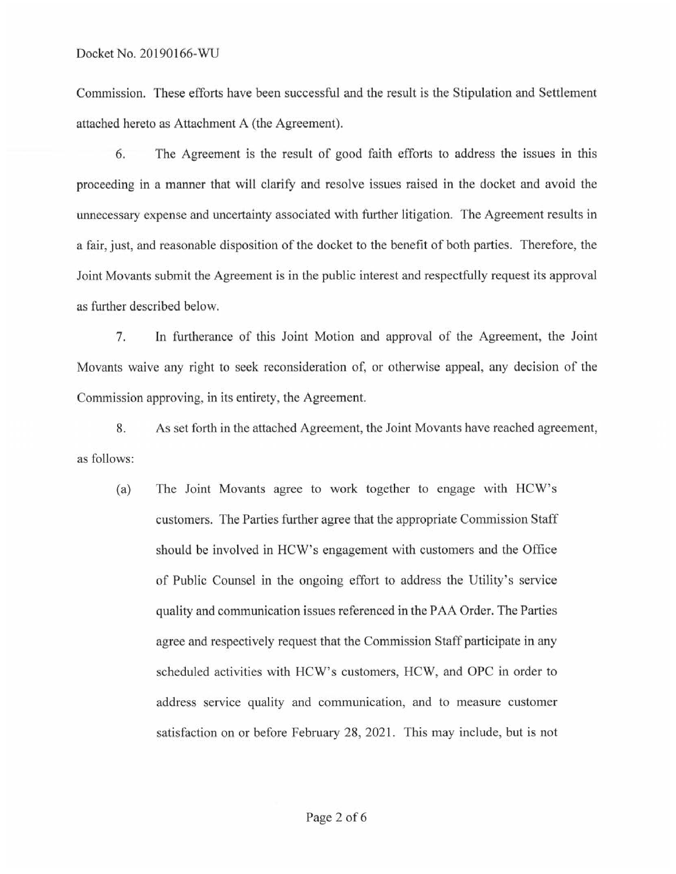Commission. These efforts have been successful and the result is the Stipulation and Settlement attached hereto as Attachment A (the Agreement).

6. The Agreement *is* the result of good faith efforts to address the issues in this proceeding in a manner that will clarify and resolve issues raised in the docket and avoid the unnecessary expense and uncertainty associated with further litigation. The Agreement results in a fair, just, and reasonable disposition of the docket to the benefit of both parties. Therefore, the Joint Movants submit the Agreement is in the public interest and respectfully request its approval as further described below.

7. In furtherance of this Joint Motion and approval of the Agreement, the Joint Movants waive any right to seek reconsideration of, or otherwise appeal, any decision of the Commission approving, in its entirety, the Agreement.

8. As set forth in the attached Agreement, the Joint Movants have reached agreement, as follows:

(a) The Joint Movants agree to work together to engage with HCW's customers. The Parties further agree that the appropriate Commission Staff should be involved in HCW's engagement with customers and the Office of Public Counsel in the ongoing effoti to address the Utility's service quality and communication issues referenced in the PAA Order. The Parties agree and respectively request that the Commission Staff participate in any scheduled activities with HCW's customers, HCW, and OPC in order to address service quality and communication, and to measure customer satisfaction on or before February 28, 2021. This may include, but is not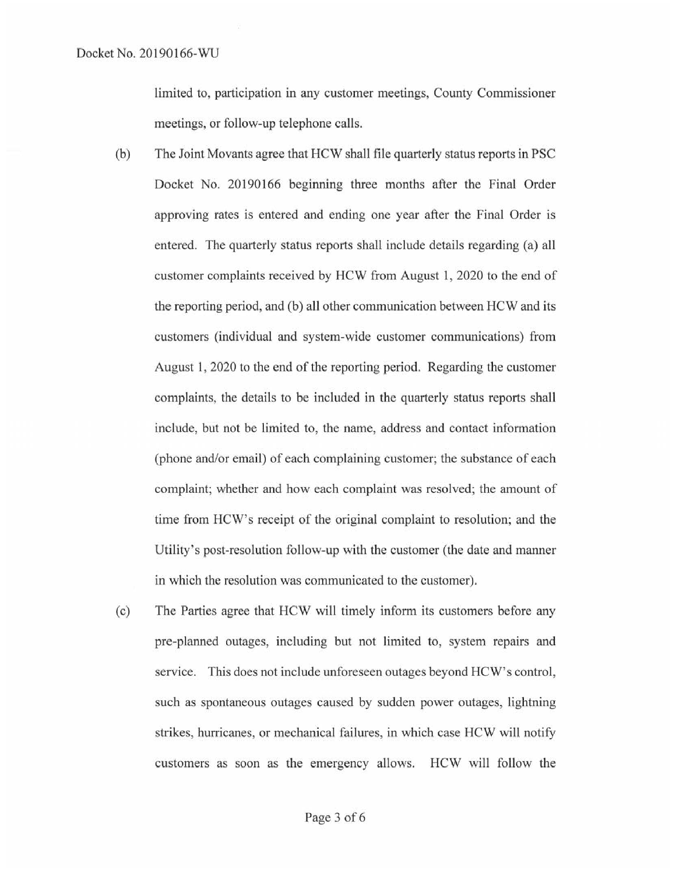limited to, participation in any customer meetings, County Commissioner meetings, or follow-up telephone calls.

- (b) The Joint Movants agree that HCW shall file quarterly status reports in PSC Docket No. 20190166 beginning three months after the Final Order approving rates is entered and ending one year after the Final Order is entered. The quarterly status reports shall include details regarding (a) all customer complaints received by HCW from August 1, 2020 to the end of the reporting period, and (b) all other communication between HCW and its customers (individual and system-wide customer communications) from August 1, 2020 to the end of the reporting period. Regarding the customer complaints, the details to be included in the quarterly status reports shall include, but not be limited to, the name, address and contact information (phone and/or email) of each complaining customer; the substance of each complaint; whether and how each complaint was resolved; the amount of time from HCW's receipt of the original complaint to resolution; and the Utility's post-resolution follow-up with the customer (the date and manner in which the resolution was communicated to the customer).
- (c) The Parties agree that HCW will timely infotm its customers before any pre-planned outages, including but not limited to, system repairs and service. This does not include unforeseen outages beyond HCW's control, such as spontaneous outages caused by sudden power outages, lightning strikes, hurricanes, or mechanical failures, in which case HCW will notify customers as soon as the emergency allows. HCW will follow the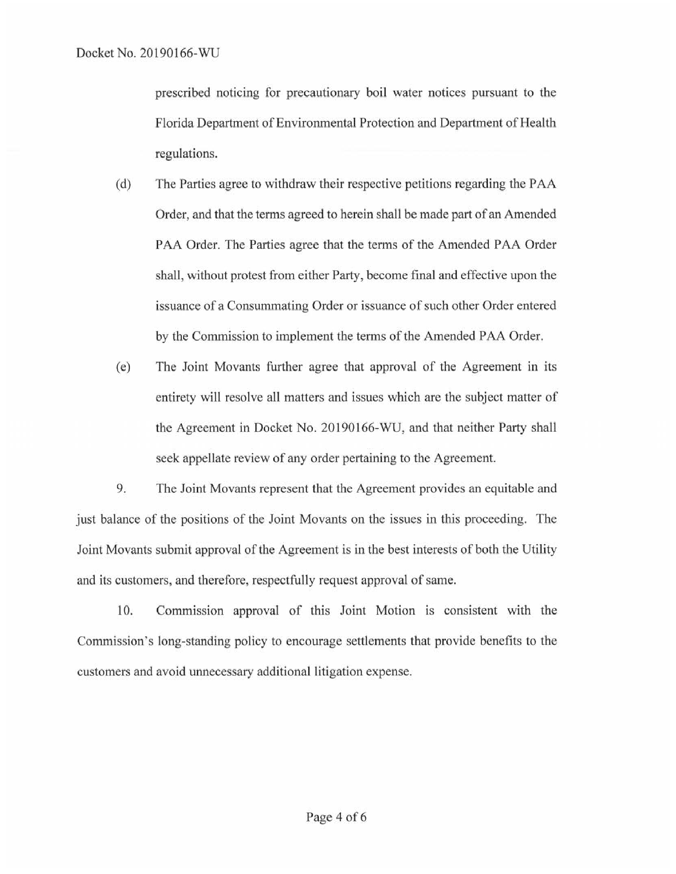prescribed noticing for precautionary boil water notices pursuant to the Florida Department of Environmental Protection and Department of Health regulations.

- ( d) The Parties agree to withdraw their respective petitions regarding the PAA Order, and that the terms agreed to herein shall be made part of an Amended PAA Order. The Parties agree that the terms of the Amended PAA Order shall, without protest from either Party, become final and effective upon the issuance of a Consummating Order or issuance of such other Order entered by the Commission to implement the terms of the Amended PAA Order.
- (e) The Joint Movants further agree that approval of the Agreement in its entirety will resolve all matters and issues which are the subject matter of the Agreement in Docket No. 20190166-WU, and that neither Party shall seek appellate review of any order pertaining to the Agreement.

9. The Joint Movants represent that the Agreement provides an equitable and just balance of the positions of the Joint Movants on the issues in this proceeding. The Joint Movants submit approval of the Agreement is in the best interests of both the Utility and its customers, and therefore, respectfully request approval of same.

10. Commission approval of this Joint Motion is consistent with the Commission's long-standing policy to encourage settlements that provide benefits to the customers and avoid unnecessary additional litigation expense.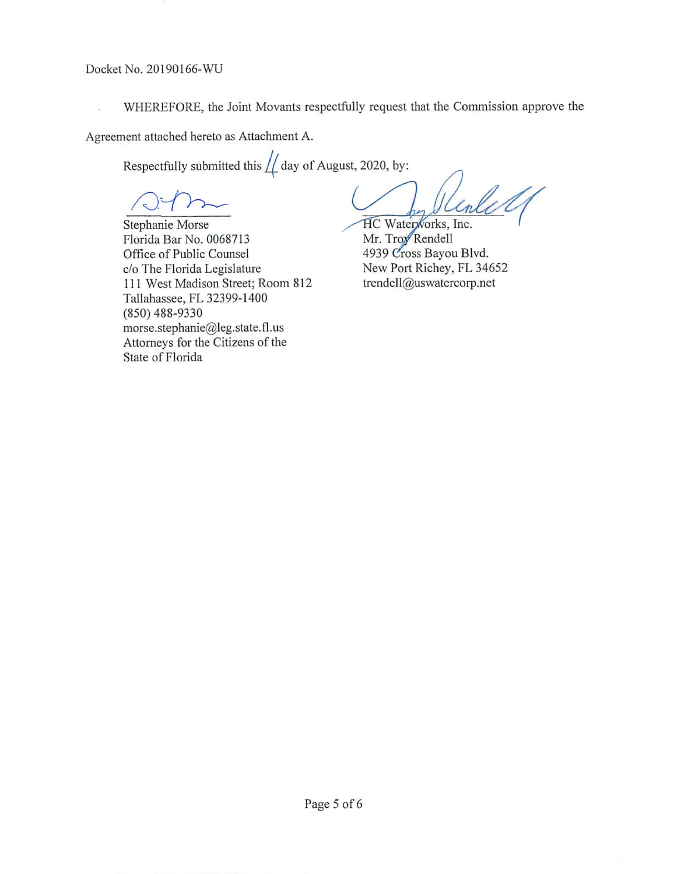Docket No. 20190166-WU

WHEREFORE, the Joint Movants respectfully request that the Commission approve the

Agreement attached hereto as Attachment A.

Respectfully submitted this  $\frac{1}{2}$  day of August, 2020, by:

Stephanie Morse Florida Bar No. 0068713 Office of Public Counsel c/o The Florida Legislature 111 West Madison Street; Room 812 Tallahassee, FL 32399-1 400 (850) 488-9330 rnorse.stephanie@leg. state. fl. us Attorneys for the Citizens of the State of Florida

HC Waterworks, Inc.

Mr. Troy Rendell 4939 Cross Bayou Blvd. New Port Richey, FL 34652 trendell@uswatercorp.net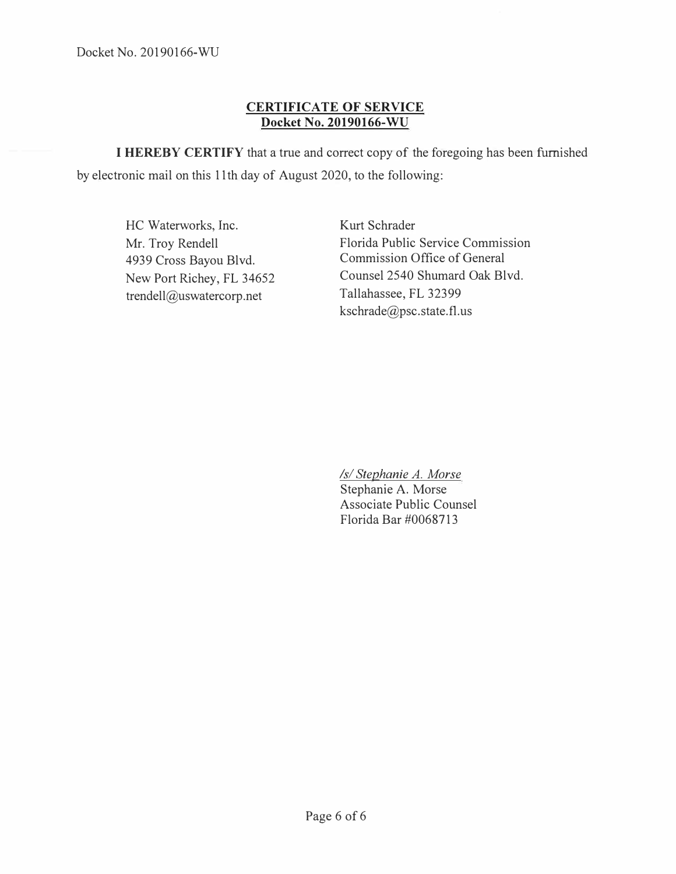# **CERTIFICATE OF SERVICE Docket No. 20190166-WU**

**I HEREBY CERTIFY** that a true and correct copy of the foregoing has been furnished by electronic mail on this 11th day of August 2020, to the following:

HC Waterworks, Inc. Mr. Troy Rendell 4939 Cross Bayou Blvd. New Port Richey, FL 34652 trendell@uswatercorp.net

Kurt Schrader Florida Public Service Commission Commission Office of General Counsel 2540 Shumard Oak Blvd. Tallahassee, FL 32399 kschrade@psc.state.fl.us

*Isl Stephanie A. Morse* 

Stephanie A. Morse Associate Public Counsel Florida Bar #0068713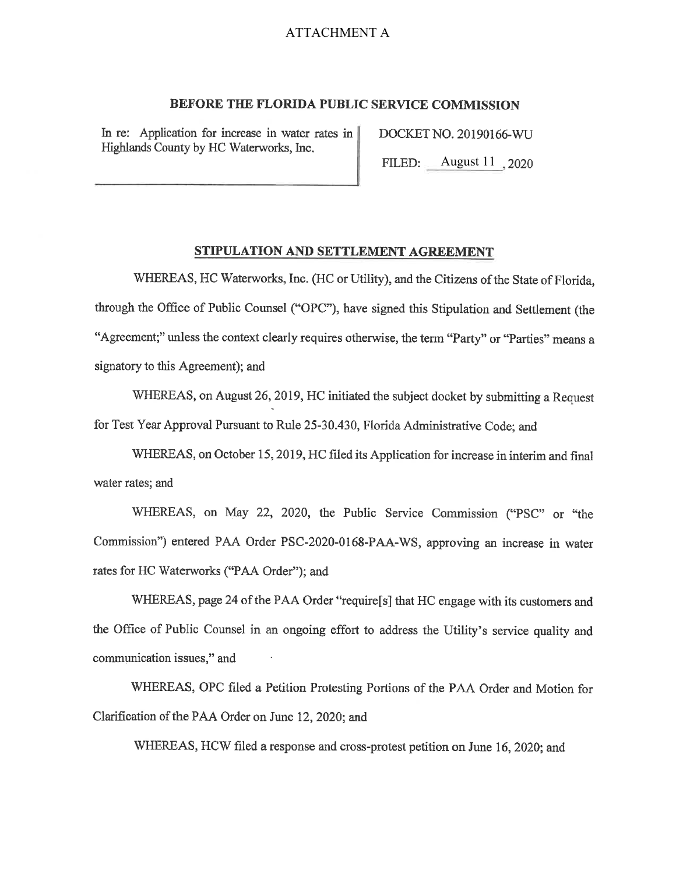### ATTACHMENT A

### **BEFORE THE FLORIDA PUBLIC SERVICE COMMISSION**

In re: Application for increase in water rates in Highlands County by HC Waterworks, Inc.

DOCKET NO. 20190166-WU

FILED: <u>August 11</u>, 2020 ----

#### **STIPULATION AND SETTLEMENT AGREEMENT**

WHEREAS, HC Waterworks, Inc. (HC or Utility), and the Citizens of the State of Florida, through the Office of Public Counsel ("OPC"), have signed this Stipulation and Settlement (the "Agreement;" unless the context clearly requires otherwise, the term "Party" or "Parties" means a signatory to this Agreement); and

WHEREAS, on August 26, 2019, HC initiated the subject docket by submitting a Request for Test Year Approval Pursuant to Rule 25-30.430, Florida Administrative Code; and

WHEREAS, on October 15, 2019, HC filed its Application for increase in interim and final water rates; and

WHEREAS, on May 22, 2020, the Public Service Commission ("PSC" or "the Commission") entered PAA Order PSC-2020-0168-PAA-WS, approving an increase in water rates for HC Waterworks ("PAA Order"); and

WHEREAS, page 24 of the PAA Order "require[s] that HC engage with its customers and the Office of Public Counsel in an ongoing effort to address the Utility's service quality and communication issues," and

WHEREAS, OPC filed a Petition Protesting Portions of the PAA Order and Motion for Clarification of the PAA Order on June 12, 2020; and

WHEREAS, HCW filed a response and cross-protest petition on June 16, 2020; and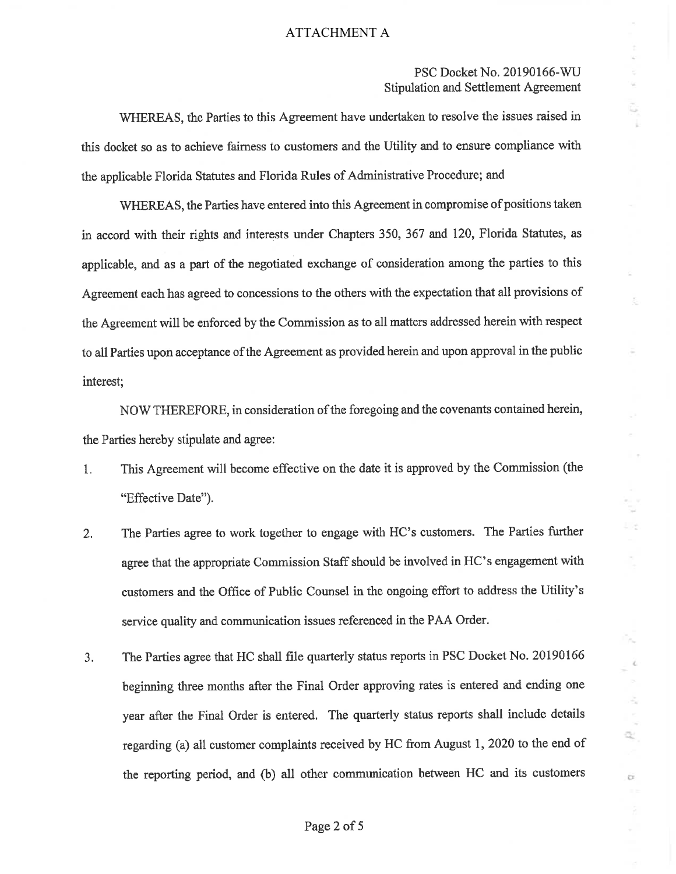### ATTACHMENT A

## PSC Docket No. 20190166-WU Stipulation and Settlement Agreement

 $\epsilon$ 

 $\frac{\partial}{\partial t} \frac{\partial}{\partial x} = - \frac{\partial}{\partial x} \frac{\partial}{\partial x}$ 

 $\mathbb{Q}^{\perp}_{\leq}$ 

ö.

īк,

ĕ.

t,

WHEREAS, the Parties to this Agreement have undertaken to resolve the issues raised in this docket so as to achieve fairness to customers and the Utility and to ensure compliance with the applicable Florida Statutes and Florida Rules of Administrative Procedure; and

WHEREAS, the Parties have entered into this Agreement in compromise of positions taken in accord with their rights and interests under Chapters 350, 367 and 120, Florida Statutes, as applicable, and as a part of the negotiated exchange of consideration among the parties to this Agreement each has agreed to concessions to the others with the expectation that all provisions of the Agreement will be enforced by the Commission as to all matters addressed herein with respect to all Parties upon acceptance of the Agreement as provided herein and upon approval in the public interest;

NOW THEREFORE, in consideration of the foregoing and the covenants contained herein, the Parties hereby stipulate and agree:

- 1. This Agreement will become effective on the date it is approved by the Commission (the "Effective Date").
- 2. The Parties agree to work together to engage with HC's customers. The Parties further agree that the appropriate Commission Staff should be involved in HC's engagement with customers and the Office of Public Counsel in the ongoing effort to address the Utility's service quality and communication issues referenced in the PAA Order.
- 3. The Parties agree that HC shall file quarterly status reports in PSC Docket No. 20190166 beginning three months after the Final Order approving rates is entered and ending one year after the Final Order is entered. The quarterly status reports shall include details regarding (a) all customer complaints received by HC from August 1, 2020 to the end of the reporting period, and (b) all other communication between HC and its customers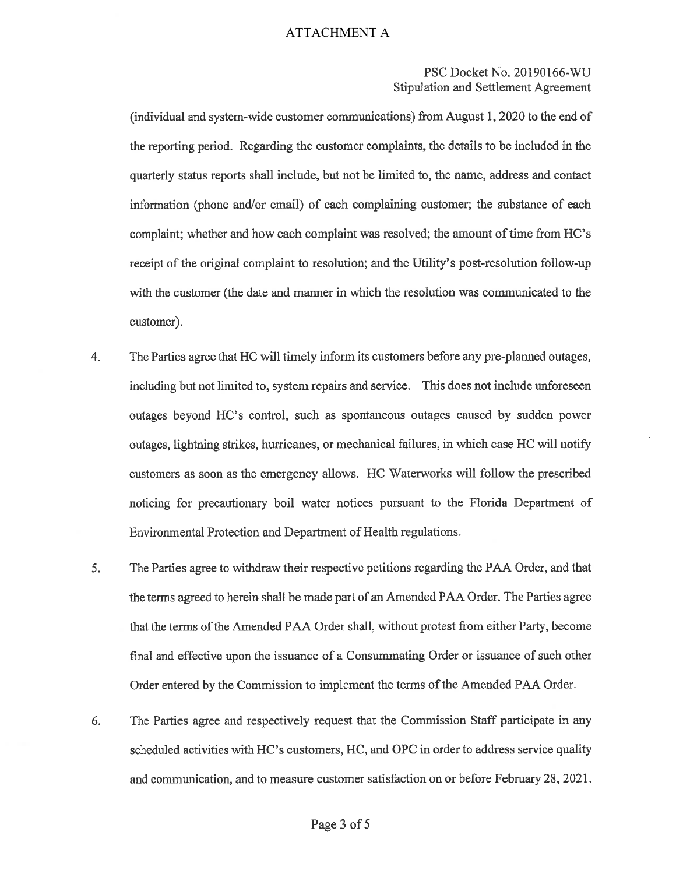## PSC Docket No. 20190166-WU Stipulation and Settlement Agreement

(individual and system-wide customer communications) from August 1, 2020 to the end of the reporting period. Regarding the customer complaints, the details to be included in the quarterly status reports shall include, but not be limited to, the name, address and contact information (phone and/or email) of each complaining customer; the substance of each complaint; whether and how each complaint was resolved; the amount of time from HC's receipt of the original complaint to resolution; and the Utility's post-resolution follow-up with the customer (the date and manner in which the resolution was communicated to the customer).

- 4. The Parties agree that HC will timely inform its customers before any pre-planned outages, including but not limited to, system repairs and service. This does not include unforeseen outages beyond HC's control, such as spontaneous outages caused by sudden power outages, lightning strikes, hurricanes, or mechanical failures, in which case HC will notify customers as soon as the emergency allows. HC Waterworks will follow the prescribed noticing for precautionary boil water notices pursuant to the Florida Department of Environmental Protection and Department of Health regulations.
- 5. The Parties agree to withdraw their respective petitions regarding the PAA Order, and that the terms agreed to herein shall be made part of an Amended PAA Order. The Parties agree that the terms of the Amended PAA Order shall, without protest from either Party, become final and effective upon the issuance of a Consummating Order or issuance of such other Order entered by the Commission to implement the terms of the Amended PAA Order.
- 6. The Parties agree and respectively request that the Commission Staff participate in any scheduled activities with HC's customers, HC, and OPC in order to address service quality and communication, and to measure customer satisfaction on or before February 28, 2021.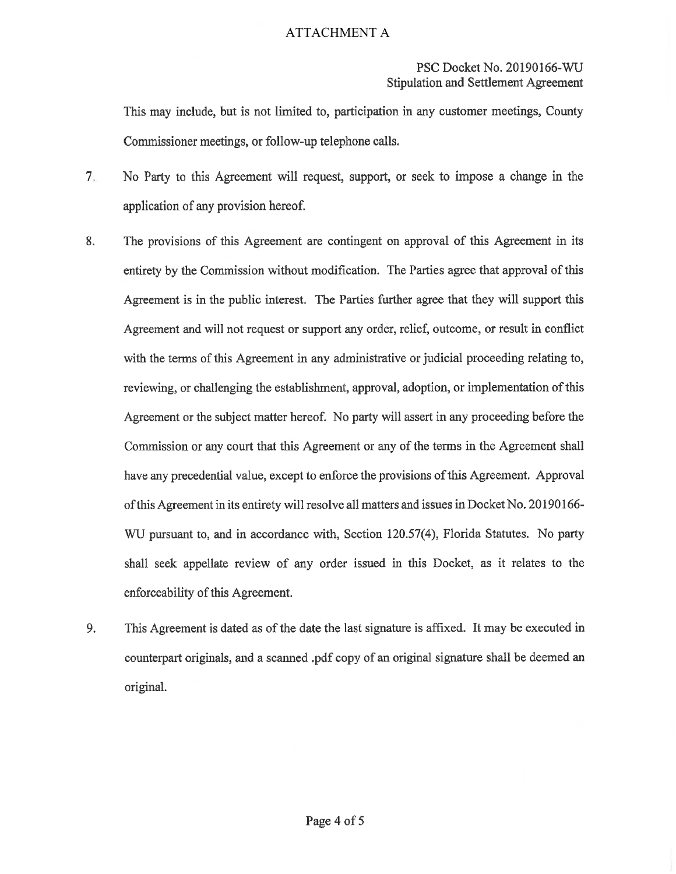# PSC Docket No. 20190166-WU Stipulation and Settlement Agreement

This may include, but is not limited to, participation in any customer meetings, County Commissioner meetings, or follow-up telephone calls.

- 7. No Party to this Agreement will request, support, or seek to impose a change in the application of any provision hereof.
- 8. The provisions of this Agreement are contingent on approval of this Agreement in its entirety by the Commission without modification. The Parties agree that approval of this Agreement is in the public interest. The Parties further agree that they will support this Agreement and will not request or support any order, relief, outcome, or result in conflict with the terms of this Agreement in any administrative or judicial proceeding relating to, reviewing, or challenging the establishment, approval, adoption, or implementation of this Agreement or the subject matter hereof. No party will assert in any proceeding before the Commission or any court that this Agreement or any of the terms in the Agreement shall have any precedential value, except to enforce the provisions of this Agreement. Approval of this Agreement in its entirety will resolve all matters and issues in Docket No. 20190166- WU pursuant to, and in accordance with, Section 120.57(4), Florida Statutes. No party shall seek appellate review of any order issued in this Docket, as it relates to the enforceability of this Agreement.
- 9. This Agreement is dated as of the date the last signature is affixed. It may be executed in counterpart originals, and a scanned .pdf copy of an original signature shall be deemed an original.